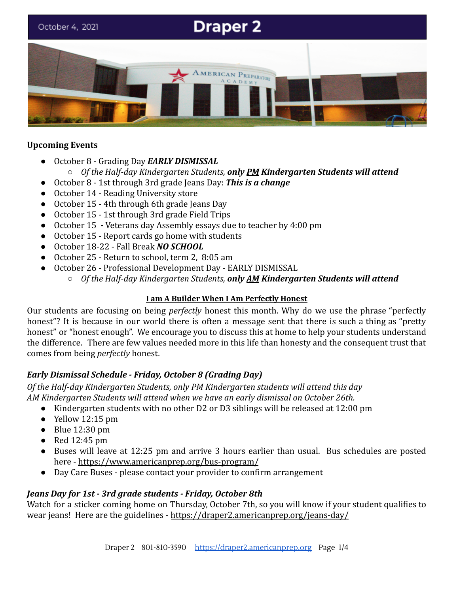

## **Upcoming Events**

- October 8 Grading Day *EARLY DISMISSAL* ○ *Of the Half-day Kindergarten Students, only PM Kindergarten Students will attend*
- October 8 1st through 3rd grade Jeans Day: *This is a change*
- October 14 Reading University store
- October 15 4th through 6th grade Jeans Day
- October 15 1st through 3rd grade Field Trips
- October 15 *-* Veterans day Assembly essays due to teacher by 4:00 pm
- October 15 Report cards go home with students
- October 18-22 Fall Break *NO SCHOOL*
- October 25 Return to school, term 2, 8:05 am
- October 26 Professional Development Day EARLY DISMISSAL
	- *Of the Half-day Kindergarten Students, only AM Kindergarten Students will attend*

#### **I am A Builder When I Am Perfectly Honest**

Our students are focusing on being *perfectly* honest this month. Why do we use the phrase "perfectly honest"? It is because in our world there is often a message sent that there is such a thing as "pretty honest" or "honest enough". We encourage you to discuss this at home to help your students understand the difference. There are few values needed more in this life than honesty and the consequent trust that comes from being *perfectly* honest.

# *Early Dismissal Schedule - Friday, October 8 (Grading Day)*

*Of the Half-day Kindergarten Students, only PM Kindergarten students will attend this day AM Kindergarten Students will attend when we have an early dismissal on October 26th.*

- Kindergarten students with no other D2 or D3 siblings will be released at 12:00 pm
- $\bullet$  Yellow 12:15 pm
- $\bullet$  Blue 12:30 pm
- $\bullet$  Red 12:45 pm
- Buses will leave at 12:25 pm and arrive 3 hours earlier than usual. Bus schedules are posted here - <https://www.americanprep.org/bus-program/>
- Day Care Buses please contact your provider to confirm arrangement

# *Jeans Day for 1st - 3rd grade students - Friday, October 8th*

Watch for a sticker coming home on Thursday, October 7th, so you will know if your student qualifies to wear jeans! Here are the guidelines - <https://draper2.americanprep.org/jeans-day/>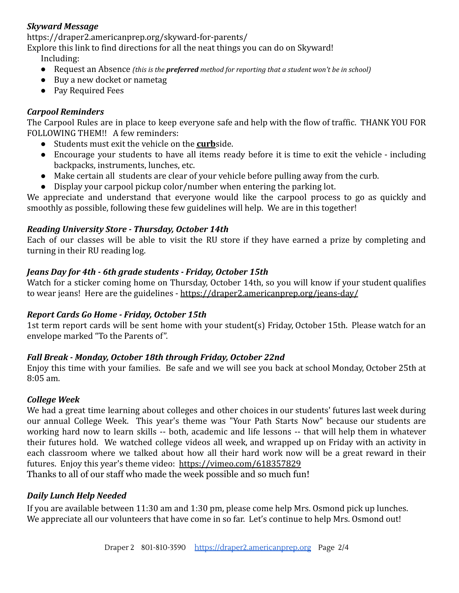# *Skyward Message*

https://draper2.americanprep.org/skyward-for-parents/

Explore this link to find directions for all the neat things you can do on Skyward!

Including:

- Request an Absence *(this is the preferred method for reporting that a student won't be in school)*
- Buy a new docket or nametag
- Pay Required Fees

## *Carpool Reminders*

The Carpool Rules are in place to keep everyone safe and help with the flow of traffic. THANK YOU FOR FOLLOWING THEM!! A few reminders:

- Students must exit the vehicle on the **curb**side.
- Encourage your students to have all items ready before it is time to exit the vehicle including backpacks, instruments, lunches, etc.
- Make certain all students are clear of your vehicle before pulling away from the curb.
- Display your carpool pickup color/number when entering the parking lot.

We appreciate and understand that everyone would like the carpool process to go as quickly and smoothly as possible, following these few guidelines will help. We are in this together!

## *Reading University Store - Thursday, October 14th*

Each of our classes will be able to visit the RU store if they have earned a prize by completing and turning in their RU reading log.

## *Jeans Day for 4th - 6th grade students - Friday, October 15th*

Watch for a sticker coming home on Thursday, October 14th, so you will know if your student qualifies to wear jeans! Here are the guidelines - <https://draper2.americanprep.org/jeans-day/>

#### *Report Cards Go Home - Friday, October 15th*

1st term report cards will be sent home with your student(s) Friday, October 15th. Please watch for an envelope marked "To the Parents of".

#### *Fall Break - Monday, October 18th through Friday, October 22nd*

Enjoy this time with your families. Be safe and we will see you back at school Monday, October 25th at 8:05 am.

#### *College Week*

We had a great time learning about colleges and other choices in our students' futures last week during our annual College Week. This year's theme was "Your Path Starts Now" because our students are working hard now to learn skills -- both, academic and life lessons -- that will help them in whatever their futures hold. We watched college videos all week, and wrapped up on Friday with an activity in each classroom where we talked about how all their hard work now will be a great reward in their futures. Enjoy this year's theme video: <https://vimeo.com/618357829> Thanks to all of our staff who made the week possible and so much fun!

#### *Daily Lunch Help Needed*

If you are available between 11:30 am and 1:30 pm, please come help Mrs. Osmond pick up lunches. We appreciate all our volunteers that have come in so far. Let's continue to help Mrs. Osmond out!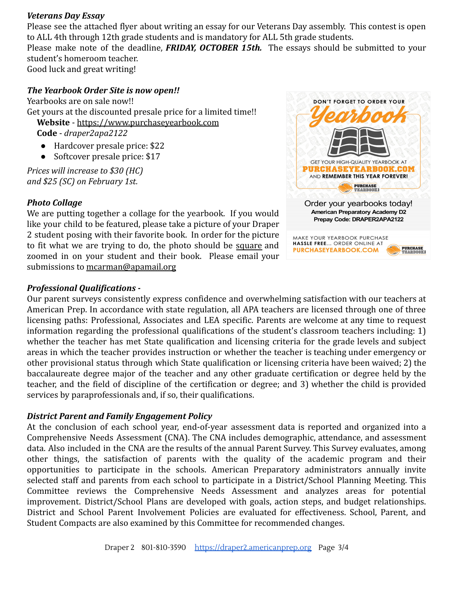#### *Veterans Day Essay*

Please see the attached flyer about writing an essay for our Veterans Day assembly. This contest is open to ALL 4th through 12th grade students and is mandatory for ALL 5th grade students.

Please make note of the deadline, *FRIDAY, OCTOBER 15th.* The essays should be submitted to your student's homeroom teacher.

Good luck and great writing!

# *The Yearbook Order Site is now open!!*

Yearbooks are on sale now!! Get yours at the discounted presale price for a limited time!! **Website** - [https://www.purchaseyearbook.com](https://www.purchaseyearbook.com/)

**Code** - *draper2apa2122*

- Hardcover presale price: \$22
- Softcover presale price: \$17

*Prices will increase to \$30 (HC) and \$25 (SC) on February 1st.*

## *Photo Collage*

We are putting together a collage for the yearbook. If you would like your child to be featured, please take a picture of your Draper 2 student posing with their favorite book. In order for the picture to fit what we are trying to do, the photo should be square and zoomed in on your student and their book. Please email your submissions to [mcarman@apamail.org](mailto:mcarman@apamail.org)

## *Professional Qualifications -*



**PURCHASEYEARBOOK.COM** 

**PURCHASE** 

Our parent surveys consistently express confidence and overwhelming satisfaction with our teachers at American Prep. In accordance with state regulation, all APA teachers are licensed through one of three licensing paths: Professional, Associates and LEA specific. Parents are welcome at any time to request information regarding the professional qualifications of the student's classroom teachers including: 1) whether the teacher has met State qualification and licensing criteria for the grade levels and subject areas in which the teacher provides instruction or whether the teacher is teaching under emergency or other provisional status through which State qualification or licensing criteria have been waived; 2) the baccalaureate degree major of the teacher and any other graduate certification or degree held by the teacher, and the field of discipline of the certification or degree; and 3) whether the child is provided services by paraprofessionals and, if so, their qualifications.

#### *District Parent and Family Engagement Policy*

At the conclusion of each school year, end-of-year assessment data is reported and organized into a Comprehensive Needs Assessment (CNA). The CNA includes demographic, attendance, and assessment data. Also included in the CNA are the results of the annual Parent Survey. This Survey evaluates, among other things, the satisfaction of parents with the quality of the academic program and their opportunities to participate in the schools. American Preparatory administrators annually invite selected staff and parents from each school to participate in a District/School Planning Meeting. This Committee reviews the Comprehensive Needs Assessment and analyzes areas for potential improvement. District/School Plans are developed with goals, action steps, and budget relationships. District and School Parent Involvement Policies are evaluated for effectiveness. School, Parent, and Student Compacts are also examined by this Committee for recommended changes.